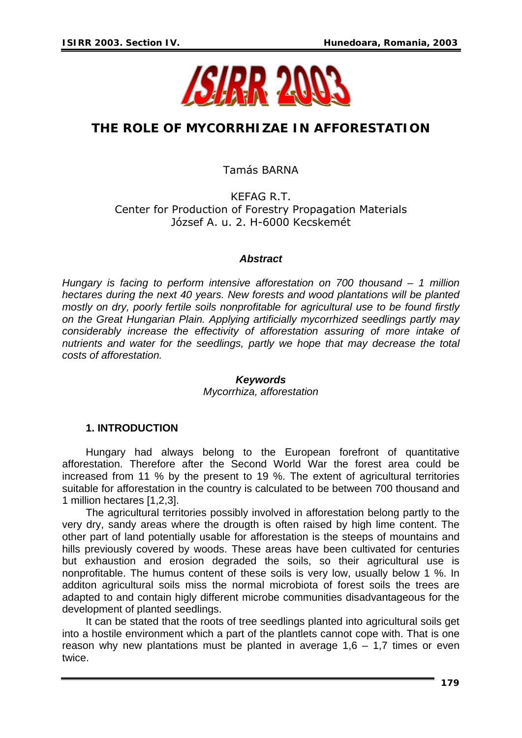

# **THE ROLE OF MYCORRHIZAE IN AFFORESTATION**

Tamás BARNA

KEFAG R.T. Center for Production of Forestry Propagation Materials József A. u. 2. H-6000 Kecskemét

### *Abstract*

*Hungary is facing to perform intensive afforestation on 700 thousand – 1 million hectares during the next 40 years. New forests and wood plantations will be planted mostly on dry, poorly fertile soils nonprofitable for agricultural use to be found firstly on the Great Hungarian Plain. Applying artificially mycorrhized seedlings partly may considerably increase the effectivity of afforestation assuring of more intake of nutrients and water for the seedlings, partly we hope that may decrease the total costs of afforestation.* 

### *Keywords*

*Mycorrhiza, afforestation* 

## **1. INTRODUCTION**

Hungary had always belong to the European forefront of quantitative afforestation. Therefore after the Second World War the forest area could be increased from 11 % by the present to 19 %. The extent of agricultural territories suitable for afforestation in the country is calculated to be between 700 thousand and 1 million hectares [1,2,3].

The agricultural territories possibly involved in afforestation belong partly to the very dry, sandy areas where the drougth is often raised by high lime content. The other part of land potentially usable for afforestation is the steeps of mountains and hills previously covered by woods. These areas have been cultivated for centuries but exhaustion and erosion degraded the soils, so their agricultural use is nonprofitable. The humus content of these soils is very low, usually below 1 %. In additon agricultural soils miss the normal microbiota of forest soils the trees are adapted to and contain higly different microbe communities disadvantageous for the development of planted seedlings.

It can be stated that the roots of tree seedlings planted into agricultural soils get into a hostile environment which a part of the plantlets cannot cope with. That is one reason why new plantations must be planted in average  $1,6 - 1,7$  times or even twice.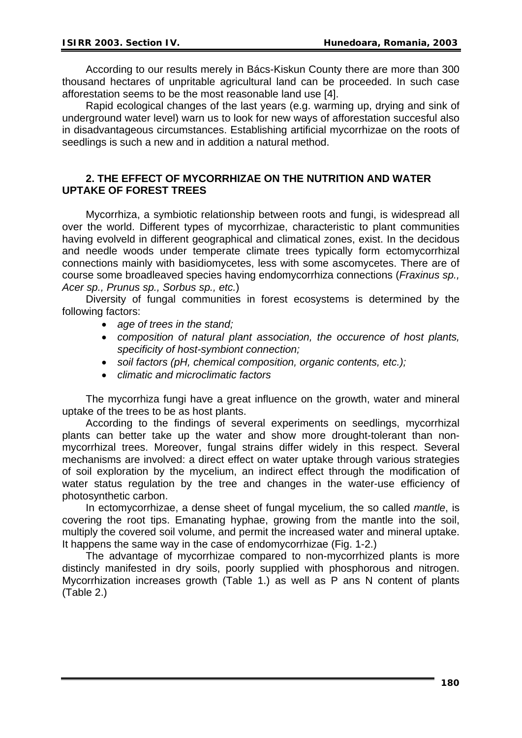According to our results merely in Bács-Kiskun County there are more than 300 thousand hectares of unpritable agricultural land can be proceeded. In such case afforestation seems to be the most reasonable land use [4].

Rapid ecological changes of the last years (e.g. warming up, drying and sink of underground water level) warn us to look for new ways of afforestation succesful also in disadvantageous circumstances. Establishing artificial mycorrhizae on the roots of seedlings is such a new and in addition a natural method.

## **2. THE EFFECT OF MYCORRHIZAE ON THE NUTRITION AND WATER UPTAKE OF FOREST TREES**

Mycorrhiza, a symbiotic relationship between roots and fungi, is widespread all over the world. Different types of mycorrhizae, characteristic to plant communities having evolveld in different geographical and climatical zones, exist. In the decidous and needle woods under temperate climate trees typically form ectomycorrhizal connections mainly with basidiomycetes, less with some ascomycetes. There are of course some broadleaved species having endomycorrhiza connections (*Fraxinus sp., Acer sp., Prunus sp., Sorbus sp., etc.*)

Diversity of fungal communities in forest ecosystems is determined by the following factors:

- *age of trees in the stand;*
- *composition of natural plant association, the occurence of host plants, specificity of host-symbiont connection;*
- *soil factors (pH, chemical composition, organic contents, etc.);*
- *climatic and microclimatic factors*

The mycorrhiza fungi have a great influence on the growth, water and mineral uptake of the trees to be as host plants.

According to the findings of several experiments on seedlings, mycorrhizal plants can better take up the water and show more drought-tolerant than nonmycorrhizal trees. Moreover, fungal strains differ widely in this respect. Several mechanisms are involved: a direct effect on water uptake through various strategies of soil exploration by the mycelium, an indirect effect through the modification of water status regulation by the tree and changes in the water-use efficiency of photosynthetic carbon.

In ectomycorrhizae, a dense sheet of fungal mycelium, the so called *mantle*, is covering the root tips. Emanating hyphae, growing from the mantle into the soil, multiply the covered soil volume, and permit the increased water and mineral uptake. It happens the same way in the case of endomycorrhizae (Fig. 1-2.)

The advantage of mycorrhizae compared to non-mycorrhized plants is more distincly manifested in dry soils, poorly supplied with phosphorous and nitrogen. Mycorrhization increases growth (Table 1.) as well as P ans N content of plants (Table 2.)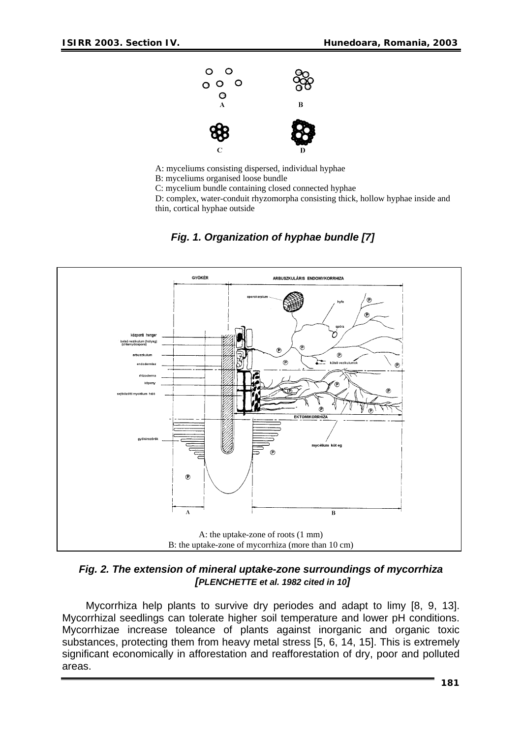

A: myceliums consisting dispersed, individual hyphae

B: myceliums organised loose bundle

C: mycelium bundle containing closed connected hyphae

D: complex, water-conduit rhyzomorpha consisting thick, hollow hyphae inside and thin, cortical hyphae outside



## *Fig. 1. Organization of hyphae bundle [7]*

*Fig. 2. The extension of mineral uptake-zone surroundings of mycorrhiza [PLENCHETTE et al. 1982 cited in 10]* 

Mycorrhiza help plants to survive dry periodes and adapt to limy [8, 9, 13]. Mycorrhizal seedlings can tolerate higher soil temperature and lower pH conditions. Mycorrhizae increase toleance of plants against inorganic and organic toxic substances, protecting them from heavy metal stress [5, 6, 14, 15]. This is extremely significant economically in afforestation and reafforestation of dry, poor and polluted areas.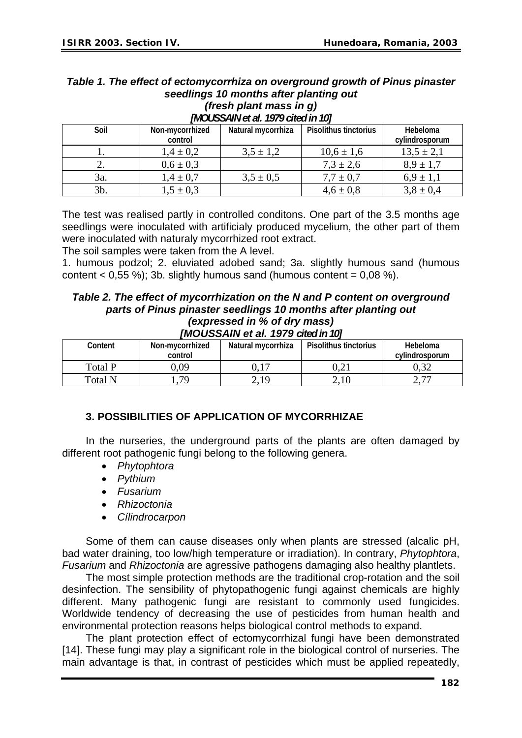## *Table 1. The effect of ectomycorrhiza on overground growth of Pinus pinaster seedlings 10 months after planting out*

| (fresh plant mass in g) |  |  |  |  |
|-------------------------|--|--|--|--|
|-------------------------|--|--|--|--|

| Soil | Non-mycorrhized | Natural mycorrhiza | Pisolithus tinctorius | Hebeloma       |  |  |  |  |
|------|-----------------|--------------------|-----------------------|----------------|--|--|--|--|
|      | control         |                    |                       | cylindrosporum |  |  |  |  |
|      | $1.4 \pm 0.2$   | $3.5 \pm 1.2$      | $10,6 \pm 1,6$        | $13,5 \pm 2,1$ |  |  |  |  |
|      | $0,6 \pm 0,3$   |                    | $7,3 \pm 2,6$         | $8.9 \pm 1.7$  |  |  |  |  |
| 3a.  | $1.4 \pm 0.7$   | $3.5 \pm 0.5$      | $7.7 \pm 0.7$         | $6.9 \pm 1.1$  |  |  |  |  |
| 3b.  | $1,5 \pm 0,3$   |                    | $4,6 \pm 0,8$         | $3,8 \pm 0,4$  |  |  |  |  |

## *[MOUSSAIN et al. 1979 cited in 10]*

The test was realised partly in controlled conditons. One part of the 3.5 months age seedlings were inoculated with artificialy produced mycelium, the other part of them were inoculated with naturaly mycorrhized root extract.

The soil samples were taken from the A level.

1. humous podzol; 2. eluviated adobed sand; 3a. slightly humous sand (humous content  $< 0.55$  %); 3b. slightly humous sand (humous content =  $0.08$  %).

#### *Table 2. The effect of mycorrhization on the N and P content on overground parts of Pinus pinaster seedlings 10 months after planting out (expressed in % of dry mass)*

### *[MOUSSAIN et al. 1979 cited in 10]*

| וטו ווואס נאס נומר נו <b>ם ו</b> ס נארכט |                 |                                             |          |                  |  |  |  |
|------------------------------------------|-----------------|---------------------------------------------|----------|------------------|--|--|--|
| Content                                  | Non-mycorrhized | Natural mycorrhiza<br>Pisolithus tinctorius |          | Hebeloma         |  |  |  |
|                                          | control         |                                             |          | cylindrosporum   |  |  |  |
| Total P                                  | 0.09            | U.I                                         | $0.21\,$ |                  |  |  |  |
| Total N                                  | .79             | 2,19                                        | 2.10     | $\overline{a}$ . |  |  |  |

## **3. POSSIBILITIES OF APPLICATION OF MYCORRHIZAE**

In the nurseries, the underground parts of the plants are often damaged by different root pathogenic fungi belong to the following genera.

- *Phytophtora*
- *Pythium*
- *Fusarium*
- *Rhizoctonia*
- *Cílindrocarpon*

Some of them can cause diseases only when plants are stressed (alcalic pH, bad water draining, too low/high temperature or irradiation). In contrary, *Phytophtora*, *Fusarium* and *Rhizoctonia* are agressive pathogens damaging also healthy plantlets.

The most simple protection methods are the traditional crop-rotation and the soil desinfection. The sensibility of phytopathogenic fungi against chemicals are highly different. Many pathogenic fungi are resistant to commonly used fungicides. Worldwide tendency of decreasing the use of pesticides from human health and environmental protection reasons helps biological control methods to expand.

The plant protection effect of ectomycorrhizal fungi have been demonstrated [14]. These fungi may play a significant role in the biological control of nurseries. The main advantage is that, in contrast of pesticides which must be applied repeatedly,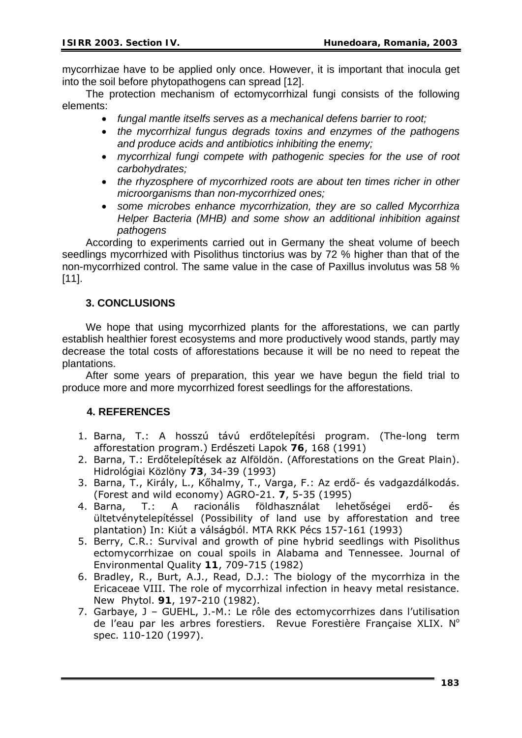mycorrhizae have to be applied only once. However, it is important that inocula get into the soil before phytopathogens can spread [12].

The protection mechanism of ectomycorrhizal fungi consists of the following elements:

- *fungal mantle itselfs serves as a mechanical defens barrier to root;*
- *the mycorrhizal fungus degrads toxins and enzymes of the pathogens and produce acids and antibiotics inhibiting the enemy;*
- *mycorrhizal fungi compete with pathogenic species for the use of root carbohydrates;*
- the rhyzosphere of mycorrhized roots are about ten times richer in other *microorganisms than non-mycorrhized ones;*
- *some microbes enhance mycorrhization, they are so called Mycorrhiza Helper Bacteria (MHB) and some show an additional inhibition against pathogens*

According to experiments carried out in Germany the sheat volume of beech seedlings mycorrhized with Pisolithus tinctorius was by 72 % higher than that of the non-mycorrhized control. The same value in the case of Paxillus involutus was 58 % [11].

## **3. CONCLUSIONS**

We hope that using mycorrhized plants for the afforestations, we can partly establish healthier forest ecosystems and more productively wood stands, partly may decrease the total costs of afforestations because it will be no need to repeat the plantations.

After some years of preparation, this year we have begun the field trial to produce more and more mycorrhized forest seedlings for the afforestations.

## **4. REFERENCES**

- 1. Barna, T.: A hosszú távú erdőtelepítési program. (The-long term afforestation program.) Erdészeti Lapok **76**, 168 (1991)
- 2. Barna, T.: Erdőtelepítések az Alföldön. (Afforestations on the Great Plain). Hidrológiai Közlöny **73**, 34-39 (1993)
- 3. Barna, T., Király, L., Kőhalmy, T., Varga, F.: Az erdő- és vadgazdálkodás. (Forest and wild economy) AGRO-21. **7**, 5-35 (1995)
- 4. Barna, T.: A racionális földhasználat lehetőségei erdő- és ültetvénytelepítéssel (Possibility of land use by afforestation and tree plantation) In: Kiút a válságból. MTA RKK Pécs 157-161 (1993)
- 5. Berry, C.R.: Survival and growth of pine hybrid seedlings with Pisolithus ectomycorrhizae on coual spoils in Alabama and Tennessee. Journal of Environmental Quality **11**, 709-715 (1982)
- 6. Bradley, R., Burt, A.J., Read, D.J.: The biology of the mycorrhiza in the Ericaceae VIII. The role of mycorrhizal infection in heavy metal resistance. New Phytol. **91**, 197-210 (1982).
- 7. Garbaye, J GUEHL, J.-M.: Le rôle des ectomycorrhizes dans l'utilisation de l'eau par les arbres forestiers. Revue Forestière Française XLIX. N° spec. 110-120 (1997).